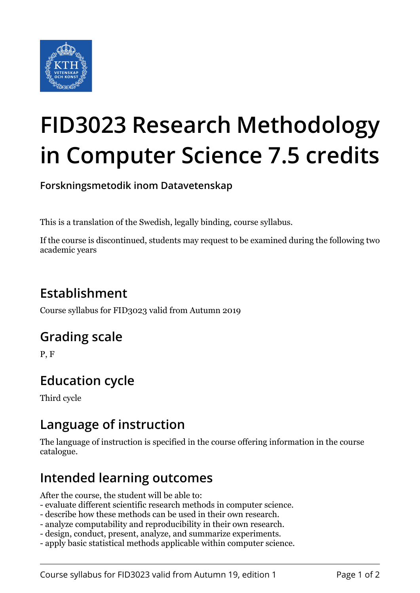

# **FID3023 Research Methodology in Computer Science 7.5 credits**

**Forskningsmetodik inom Datavetenskap**

This is a translation of the Swedish, legally binding, course syllabus.

If the course is discontinued, students may request to be examined during the following two academic years

# **Establishment**

Course syllabus for FID3023 valid from Autumn 2019

## **Grading scale**

P, F

## **Education cycle**

Third cycle

## **Language of instruction**

The language of instruction is specified in the course offering information in the course catalogue.

## **Intended learning outcomes**

After the course, the student will be able to:

- evaluate different scientific research methods in computer science.
- describe how these methods can be used in their own research.
- analyze computability and reproducibility in their own research.
- design, conduct, present, analyze, and summarize experiments.
- apply basic statistical methods applicable within computer science.